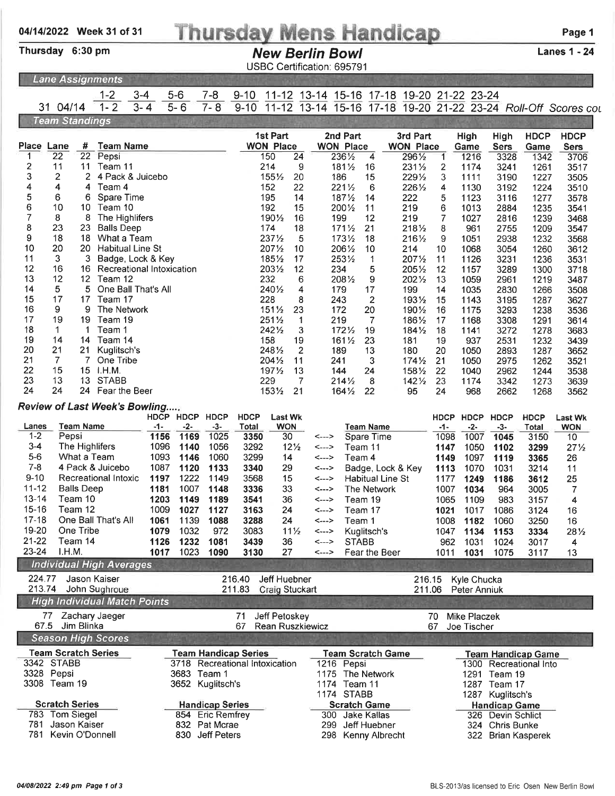## Thursday Mens Handicap Page 1

Thursday 6:30 pm

### New Berlin Bowl Lanes 1 - 24

USBC Certification: 695791

1-2 3-4 5-6 7-8 9-10 11-12 13-14 15-16 17-18 19-20 21-22 23-24

|  | <b>Lane Assignments</b> |
|--|-------------------------|
|  |                         |

| 31.                    | 04/14                           |                      | $1 - 2$                             | $3 - 4$      | $5 - 6$                 | $\tilde{\phantom{a}}$<br>$7 - 8$ | $9 - 10$             | .<br>$11 - 12$                 |                              | $\sim$<br>.    | .                          | .<br>13-14 15-16 17-18   | $\sim$                     |              | $1020$ $-124$ $-021$ |                      |                           | 19-20 21-22 23-24 Roll-Off Scores cou |
|------------------------|---------------------------------|----------------------|-------------------------------------|--------------|-------------------------|----------------------------------|----------------------|--------------------------------|------------------------------|----------------|----------------------------|--------------------------|----------------------------|--------------|----------------------|----------------------|---------------------------|---------------------------------------|
|                        | <b>Team Standings</b>           |                      |                                     |              |                         |                                  |                      |                                |                              |                |                            |                          |                            |              |                      |                      |                           |                                       |
|                        |                                 |                      |                                     |              |                         |                                  |                      | 1st Part                       |                              |                | 2nd Part                   |                          | 3rd Part                   |              | High                 | High                 | <b>HDCP</b>               | <b>HDCP</b>                           |
| Place<br>1             | Lane<br>22                      | #<br>$\overline{22}$ | <b>Team Name</b><br>Pepsi           |              |                         |                                  |                      | <b>WON Place</b><br>150        | 24                           |                | <b>WON Place</b><br>2361/2 | 4                        | <b>WON Place</b><br>2961/2 | 1            | Game<br>1216         | <b>Sers</b>          | Game                      | <b>Sers</b><br>3706                   |
| 2                      | 11                              | 11                   | Team 11                             |              |                         |                                  |                      | 214                            | 9                            |                | $181\frac{1}{2}$           | 16                       | 2311/2                     | 2            | 1174                 | 3328<br>3241         | 1342<br>1261              | 3517                                  |
| 3                      | 2                               | 2                    | 4 Pack & Juicebo                    |              |                         |                                  |                      | 1551/2                         | 20                           |                | 186                        | 15                       | 2291/2                     | 3            | 1111                 | 3190                 | 1227                      | 3505                                  |
| 4                      | 4                               | 4                    | Team 4                              |              |                         |                                  |                      | 152                            | 22                           |                | 2211/2                     | 6                        | 2261/2                     | 4            | 1130                 | 3192                 | 1224                      | 3510                                  |
| 5                      | 6                               | 6                    | Spare Time                          |              |                         |                                  |                      | 195                            | 14                           |                | 1871/2                     | 14                       | 222                        | 5            | 1123                 | 3116                 | 1277                      | 3578                                  |
| 6                      | 10                              | 10                   | Team 10                             |              |                         |                                  |                      | 192                            | 15                           |                | 2001/2                     | 11                       | 219                        | 6            | 1013                 | 2884                 | 1235                      | 3541                                  |
| 7<br>8                 | 8<br>23                         | 8<br>23              | The Highlifers<br><b>Balls Deep</b> |              |                         |                                  |                      | 1901/2<br>174                  | 16                           |                | 199                        | 12                       | 219                        | 7            | 1027                 | 2816                 | 1239                      | 3468                                  |
| 9                      | 18                              | 18                   | What a Team                         |              |                         |                                  |                      | 2371/2                         | 18<br>5                      |                | $171\frac{1}{2}$<br>1731/2 | 21<br>18                 | 2181/2<br>2161/2           | 8<br>9       | 961<br>1051          | 2755<br>2938         | 1209<br>1232              | 3547<br>3568                          |
| 10                     | 20                              | 20                   | Habitual Line St                    |              |                         |                                  |                      | 2071/2                         | 10                           |                | 2061/2                     | 10                       | 214                        | 10           | 1068                 | 3054                 | 1260                      | 3612                                  |
| 11                     | 3                               | 3                    | Badge, Lock & Key                   |              |                         |                                  |                      | 1851/2                         | 17                           |                | 2531/2                     | 1                        | 2071/2                     | 11           | 1126                 | 3231                 | 1236                      | 3531                                  |
| 12                     | 16                              | 16                   | Recreational Intoxication           |              |                         |                                  |                      | 2031/2                         | 12                           |                | 234                        | 5                        | 2051/2                     | 12           | 1157                 | 3289                 | 1300                      | 3718                                  |
| 13                     | 12                              | 12 <sup>2</sup>      | Team 12                             |              |                         |                                  |                      | 232                            | 6                            |                | 2081/2                     | 9                        | 2021/2                     | 13           | 1059                 | 2961                 | 1219                      | 3487                                  |
| 14                     | 5                               | 5                    | One Ball That's All                 |              |                         |                                  |                      | 2401/2                         | 4                            |                | 179                        | 17                       | 199                        | 14           | 1035                 | 2830                 | 1266                      | 3508                                  |
| 15<br>16               | 17<br>9                         | 17<br>9              | Team 17<br>The Network              |              |                         |                                  |                      | 228                            | 8                            |                | 243                        | $\overline{2}$           | 1931/2                     | 15           | 1143                 | 3195                 | 1287                      | 3627                                  |
| 17                     | 19                              | 19                   | Team 19                             |              |                         |                                  |                      | $151\frac{1}{2}$<br>$251\%$    | 23<br>1                      |                | 172<br>219                 | 20<br>7                  | 1901/2<br>1861/2           | 16<br>17     | 1175<br>1168         | 3293<br>3308         | 1238<br>1291              | 3536<br>3614                          |
| 18                     | 1                               | 1                    | Team 1                              |              |                         |                                  |                      | 2421/2                         | 3                            |                | 1721/2                     | 19                       | $184\%$                    | 18           | 1141                 | 3272                 | 1278                      | 3683                                  |
| 19                     | 14                              | 14                   | Team 14                             |              |                         |                                  |                      | 158                            | 19                           |                | $161\frac{1}{2}$           | 23                       | 181                        | 19           | 937                  | 2531                 | 1232                      | 3439                                  |
| 20                     | 21                              | 21                   | Kuglitsch's                         |              |                         |                                  |                      | 2481/2                         | 2                            |                | 189                        | 13                       | 180                        | 20           | 1050                 | 2893                 | 1287                      | 3652                                  |
| 21                     | $\overline{7}$                  | 7                    | One Tribe                           |              |                         |                                  |                      | 2041/2                         | 11                           |                | 241                        | 3                        | $174\frac{1}{2}$           | 21           | 1050                 | 2975                 | 1262                      | 3521                                  |
| 22                     | 15                              | 15                   | 1.H.M.                              |              |                         |                                  |                      | 1971/2                         | 13                           |                | 144                        | 24                       | 1581/2                     | 22           | 1040                 | 2962                 | 1244                      | 3538                                  |
| 23<br>24               | 13<br>24                        | 13                   | <b>STABB</b><br>24 Fear the Beer    |              |                         |                                  |                      | 229<br>1531/2                  | 7<br>21                      |                | $214\frac{1}{2}$           | 8<br>22                  | $142\frac{1}{2}$<br>95     | 23<br>24     | 1174<br>968          | 3342                 | 1273                      | 3639                                  |
|                        |                                 |                      |                                     |              |                         |                                  |                      |                                |                              |                | $164\%$                    |                          |                            |              |                      | 2662                 | 1268                      | 3562                                  |
|                        |                                 |                      | Review of Last Week's Bowling       |              |                         |                                  |                      |                                |                              |                |                            |                          |                            |              |                      |                      |                           |                                       |
| Lanes                  |                                 | <b>Team Name</b>     |                                     | $-1-$        | HDCP HDCP HDCP<br>$-2-$ | $-3-$                            | <b>HDCP</b><br>Total |                                | <b>Last Wk</b><br><b>WON</b> |                |                            | <b>Team Name</b>         |                            | $-1-$        | HDCP HDCP<br>$-2-$   | <b>HDCP</b><br>$-3-$ | <b>HDCP</b><br>Total      | <b>Last Wk</b><br><b>WON</b>          |
| $1 - 2$                | Pepsi                           |                      |                                     | 1156         | 1169                    | 1025                             | 3350                 |                                | 30                           | <--->          |                            | Spare Time               |                            | 1098         | 1007                 | 1045                 | 3150                      | 10                                    |
| $3 - 4$                |                                 |                      | The Highlifers                      | 1096         | 1140                    | 1056                             | 3292                 |                                | $12\frac{1}{2}$              | <--->          |                            | Team 11                  |                            | 1147         | 1050                 | 1102                 | 3299                      | $27\frac{1}{2}$                       |
| $5-6$                  |                                 |                      | What a Team                         | 1093         | 1146                    | 1060                             | 3299                 |                                | 14                           | <--->          |                            | Team 4                   |                            | 1149         | 1097                 | 1119                 | 3365                      | 26                                    |
| $7 - 8$                |                                 |                      | 4 Pack & Juicebo                    | 1087         | 1120                    | 1133                             | 3340                 |                                | 29                           | <--->          |                            |                          | Badge, Lock & Key          | 1113         | 1070                 | 1031                 | 3214                      | 11                                    |
| $9 - 10$               |                                 |                      | Recreational Intoxic                | 1197         | 1222                    | 1149                             | 3568                 |                                | 15                           | <--->          |                            | Habitual Line St         |                            | 1177         | 1249                 | 1186                 | 3612                      | 25                                    |
| $11 - 12$<br>$13 - 14$ | <b>Balls Deep</b>               |                      |                                     | 1181         | 1007                    | 1148                             | 3336                 |                                | 33                           | <--->          |                            | The Network              |                            | 1007         | 1034                 | 964                  | 3005                      | 7                                     |
| $15 - 16$              | Team 10                         | Team 12              |                                     | 1203<br>1009 | 1149<br>1027            | 1189<br>1127                     | 3541<br>3163         |                                | 36<br>24                     | <---><br><---> |                            | Team 19<br>Team 17       |                            | 1065<br>1021 | 1109<br>1017         | 983<br>1086          | 3157<br>3124              | 4<br>16                               |
| $17 - 18$              |                                 |                      | One Ball That's All                 | 1061         | 1139                    | 1088                             | 3288                 |                                | 24                           | <--->          |                            | Team 1                   |                            | 1008         | 1182                 | 1060                 | 3250                      | 16                                    |
| 19-20                  | One Tribe                       |                      |                                     | 1079         | 1032                    | 972                              | 3083                 |                                | $11\frac{1}{2}$              | <--->          |                            | Kuglitsch's              |                            | 1047         | 1134                 | 1153                 | 3334                      | 281/2                                 |
| 21-22                  | Team 14                         |                      |                                     | 1126         | 1232                    | 1081                             | 3439                 |                                | 36                           | <--->          |                            | <b>STABB</b>             |                            | 962          | 1031                 | 1024                 | 3017                      | 4                                     |
| 23-24                  | I.H.M.                          |                      |                                     | 1017         | 1023                    | 1090                             | 3130                 |                                | 27                           | <--->          |                            | Fear the Beer            |                            | 1011         | 1031                 | 1075                 | 3117                      | 13                                    |
|                        |                                 |                      | <b>Individual High Averages</b>     |              |                         |                                  |                      |                                |                              |                |                            |                          |                            |              |                      |                      |                           |                                       |
| 224.77                 |                                 |                      | Jason Kaiser                        |              |                         |                                  | 216.40               | Jeff Huebner                   |                              |                |                            |                          | 216.15                     |              | Kyle Chucka          |                      |                           |                                       |
| 213.74                 |                                 |                      | John Sughroue                       |              |                         |                                  | 211.83               | Craig Stuckart                 |                              |                |                            |                          | 211.06                     |              | Peter Anniuk         |                      |                           |                                       |
|                        |                                 |                      | <b>High Individual Match Points</b> |              |                         |                                  |                      |                                |                              |                |                            |                          |                            |              |                      |                      |                           |                                       |
|                        |                                 |                      | 77 Zachary Jaeger                   |              |                         |                                  | 71                   | Jeff Petoskey                  |                              |                |                            |                          |                            | 70           | <b>Mike Placzek</b>  |                      |                           |                                       |
| 67.5                   |                                 | Jim Blinka           |                                     |              |                         |                                  | 67                   | <b>Rean Ruszkiewicz</b>        |                              |                |                            |                          |                            | 67           | Joe Tischer          |                      |                           |                                       |
|                        |                                 |                      | <b>Season High Scores</b>           |              |                         |                                  |                      |                                |                              |                |                            |                          |                            |              |                      |                      |                           |                                       |
|                        | <b>Team Scratch Series</b>      |                      |                                     |              |                         | <b>Team Handicap Series</b>      |                      |                                |                              |                |                            | <b>Team Scratch Game</b> |                            |              |                      |                      | <b>Team Handicap Game</b> |                                       |
| 3328 Pepsi             | 3342 STABB                      |                      |                                     |              | 3683 Team 1             |                                  |                      | 3718 Recreational Intoxication |                              | 1175           | 1216 Pepsi                 | The Network              |                            |              |                      | 1291 Team 19         | 1300 Recreational Into    |                                       |
|                        | 3308 Team 19                    |                      |                                     |              |                         | 3652 Kuglitsch's                 |                      |                                |                              |                | 1174 Team 11               |                          |                            |              |                      | 1287 Team 17         |                           |                                       |
|                        |                                 |                      |                                     |              |                         |                                  |                      |                                |                              |                | 1174 STABB                 |                          |                            |              |                      | 1287 Kuglitsch's     |                           |                                       |
|                        | <b>Scratch Series</b>           |                      |                                     |              |                         | <b>Handicap Series</b>           |                      |                                |                              |                |                            | <b>Scratch Game</b>      |                            |              |                      | <b>Handicap Game</b> |                           |                                       |
|                        | 783 Tom Siegel                  |                      |                                     |              |                         | 854 Eric Remfrey                 |                      |                                |                              |                |                            | 300 Jake Kallas          |                            |              |                      | 326 Devin Schlict    |                           |                                       |
| 781<br>781             | Jason Kaiser<br>Kevin O'Donnell |                      |                                     |              |                         | 832 Pat Mcrae                    |                      |                                |                              |                |                            | 299 Jeff Huebner         |                            |              |                      | 324 Chris Bunke      |                           |                                       |
|                        |                                 |                      |                                     |              |                         | 830 Jeff Peters                  |                      |                                |                              |                |                            | 298 Kenny Albrecht       |                            |              |                      | 322 Brian Kasperek   |                           |                                       |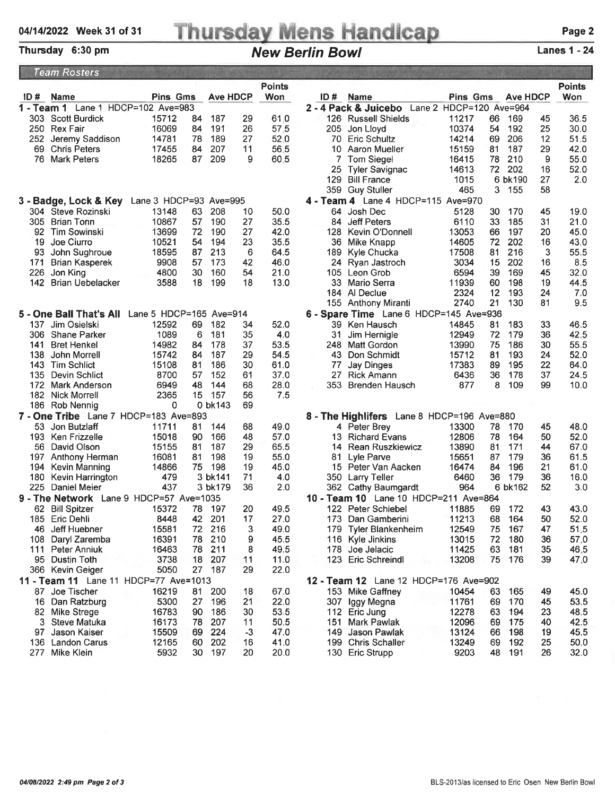# 04/14/2022 Week 31 of 31 Thursday Mens Handicap

### Lanes 1 - 24

| <b>Team Rosters</b>                                                                          |                                              |                         |          |                 |            |               |                                                                                         |               |  |  |
|----------------------------------------------------------------------------------------------|----------------------------------------------|-------------------------|----------|-----------------|------------|---------------|-----------------------------------------------------------------------------------------|---------------|--|--|
|                                                                                              |                                              |                         |          |                 |            | <b>Points</b> |                                                                                         | <b>Points</b> |  |  |
| ID#                                                                                          | Name                                         | <b>Pins Gms</b>         |          | <b>Ave HDCP</b> |            | Won           | <b>Pins Gms</b><br><b>Ave HDCP</b><br>ID#<br><b>Name</b>                                | Won           |  |  |
|                                                                                              | 1 - Team 1 Lane 1 HDCP=102 Ave=983           |                         |          |                 |            |               | 2 - 4 Pack & Juicebo<br>Lane 2 HDCP=120 Ave=964                                         |               |  |  |
|                                                                                              | 303 Scott Burdick                            | 15712                   | 84       | 187             | 29         | 61.0          | 126 Russell Shields<br>11217<br>66<br>169<br>45                                         | 36.5          |  |  |
|                                                                                              | 250 Rex Fair                                 | 16069                   | 84       | 191             | 26         | 57.5          | 10374<br>25<br>192<br>205 Jon Lloyd<br>54                                               | 30.0          |  |  |
|                                                                                              | 252 Jeremy Saddison                          | 14781                   | 78       | 189             | 27         | 52.0          | 206<br>12<br><b>Eric Schultz</b><br>14214<br>69<br>70                                   | 51.5          |  |  |
| 69                                                                                           | <b>Chris Peters</b>                          | 17455                   | 84       | 207             | 11         | 56.5          | 15159<br>187<br>29<br>10 Aaron Mueller<br>81                                            | 42.0          |  |  |
|                                                                                              | 76 Mark Peters                               | 18265                   | 87       | 209             | 9          | 60.5          | 210<br>9<br>78<br>Tom Siegel<br>16415                                                   | 55.0          |  |  |
|                                                                                              |                                              |                         |          |                 |            |               | 14613<br>72<br>202<br>16<br>25<br>Tyler Savignac                                        | 52.0          |  |  |
|                                                                                              |                                              |                         |          |                 |            |               | 27<br>129 Bill France<br>1015<br>6 bk190                                                | 2.0           |  |  |
|                                                                                              |                                              |                         |          |                 |            |               | 465<br>3.<br>-155<br>58<br>359 Guy Stuller                                              |               |  |  |
|                                                                                              | 3 - Badge, Lock & Key Lane 3 HDCP=93 Ave=995 |                         |          |                 |            |               | 4 - Team 4 Lane 4 HDCP=115 Ave=970                                                      |               |  |  |
|                                                                                              | 304 Steve Rozinski                           | 13148                   | 63       | 208             | 10         | 50.0          | 64 Josh Dec<br>5128<br>30<br>170<br>45                                                  | 19.0          |  |  |
| 305.                                                                                         | Brian Tonn                                   | 10867                   | 57       | 190             | 27         | 35.5          | 33<br>185<br>31<br>84 Jeff Peters<br>6110                                               | 21.0          |  |  |
| 92.                                                                                          | Tim Sowinski                                 | 13699                   | 72       | 190             | 27         | 42.0          | 197<br>Kevin O'Donnell<br>13053<br>66<br>20<br>128                                      | 45.0          |  |  |
| 19                                                                                           | Joe Ciurro                                   | 10521                   | 54       | 194             | 23         | 35.5          | 14605<br>72<br>202<br>16<br>36<br>Mike Knapp                                            | 43.0          |  |  |
| 93                                                                                           | John Sughroue                                | 18595                   | 87       | 213             | 6          | 64.5          | 189 Kyle Chucka<br>17508<br>81<br>216<br>3                                              | 55.5          |  |  |
| 171                                                                                          | <b>Brian Kasperek</b>                        | 9908                    | 57       | 173             | 42         | 46.0          | 24 Ryan Jastroch<br>3034<br>15<br>202<br>16                                             | 8.5           |  |  |
| 226<br>142                                                                                   | Jon King                                     | 4800                    | 30<br>18 | 160<br>199      | 54<br>18   | 21.0<br>13.0  | 6594<br>169<br>45<br>Leon Grob<br>39<br>105<br>198<br>33 Mario Serra<br>11939<br>19     | 32.0          |  |  |
|                                                                                              | Brian Uebelacker                             | 3588                    |          |                 |            |               | 60<br>2324<br>12<br>193<br>184 Al Declue<br>24                                          | 44.5<br>7.0   |  |  |
|                                                                                              |                                              |                         |          |                 |            |               | 21<br>2740<br>130<br>81<br>155 Anthony Miranti                                          | 9.5           |  |  |
|                                                                                              | 5 - One Ball That's All                      | Lane 5 HDCP=165 Ave=914 |          |                 |            |               | 6 - Spare Time Lane 6 HDCP=145 Ave=936                                                  |               |  |  |
|                                                                                              | 137 Jim Osielski                             | 12592                   | 69       | 182             | 34         | 52.0          | 14845<br>81<br>183<br>33<br>39 Ken Hausch                                               | 46.5          |  |  |
|                                                                                              | 306 Shane Parker                             | 1089                    | 6        | 181             | 35         | 4.0           | 72<br>179<br>36<br>31<br>Jim Hernigle<br>12949                                          | 42.5          |  |  |
| 141                                                                                          | <b>Bret Henkel</b>                           | 14982                   | 84       | 178             | 37         | 53.5          | 13990<br>75<br>186<br>30<br>248<br>Matt Gordon                                          | 55.5          |  |  |
| 138                                                                                          | John Morrell                                 | 15742                   | 84       | 187             | 29         | 54.5          | 193<br>43 Don Schmidt<br>15712<br>81<br>24                                              | 52.0          |  |  |
|                                                                                              | 143 Tim Schlict                              | 15108                   | 81       | 186             | 30         | 61.0          | 22<br><b>Jay Dinges</b><br>17383<br>89<br>195<br>77                                     | 64.0          |  |  |
|                                                                                              | 135 Devin Schlict                            | 8700                    | 57       | 152             | 61         | 37.0          | 6436<br>178<br>37<br>27<br>Rick Amann<br>36                                             | 24.5          |  |  |
| 172                                                                                          | Mark Anderson                                | 6949                    | 48       | 144             | 68         | 28.0          | 109<br>353 Brenden Hausch<br>877<br>8<br>99                                             | 10.0          |  |  |
|                                                                                              | 182 Nick Morrell                             | 2365                    | 15       | 157             | 56         | 7.5           |                                                                                         |               |  |  |
|                                                                                              | 186 Rob Nennig                               | 0                       |          | 0 bk143         | 69         |               |                                                                                         |               |  |  |
|                                                                                              | 7 - One Tribe Lane 7 HDCP=183 Ave=893        |                         |          |                 |            |               | 8 - The Highlifers Lane 8 HDCP=196 Ave=880                                              |               |  |  |
|                                                                                              | 53 Jon Butzlaff                              | 11711                   | 81       | 144             | 68         | 49.0          | 4 Peter Brey<br>13300<br>78<br>170<br>45                                                | 48.0          |  |  |
|                                                                                              | 193 Ken Frizzelle                            | 15018                   | 90       | 166             | 48         | 57.0          | 50<br><b>Richard Evans</b><br>12806<br>78<br>164<br>13.                                 | 52.0          |  |  |
| 56                                                                                           | David Olson                                  | 15155                   | 81       | 187             | 29         | 65.5          | 171<br>13890<br>44<br>14 Rean Ruszkiewicz<br>81                                         | 67.0          |  |  |
|                                                                                              | 197 Anthony Herman                           | 16081                   | 81       | 198             | 19         | 55.0          | 15651<br>87<br>179<br>36<br>81<br>Lyle Parve                                            | 61.5          |  |  |
| 194.                                                                                         | Kevin Manning                                | 14866                   | 75       | 198             | 19         | 45.0          | 15 Peter Van Aacken<br>16474<br>84<br>196<br>21                                         | 61.0          |  |  |
| 180                                                                                          | Kevin Harrington                             | 479                     |          | 3 bk141         | 71         | 4.0           | 36<br>6460<br>179<br>350 Larry Teller<br>36                                             | 16.0          |  |  |
| 225.                                                                                         | Daniel Meier                                 | 437                     |          | 3 bk179         | 36         | 2.0           | 362 Cathy Baumgardt<br>964<br>6 bk162<br>52                                             | 3.0           |  |  |
|                                                                                              | 9 - The Network Lane 9 HDCP=57 Ave=1035      |                         |          |                 |            |               | 10 - Team 10 Lane 10 HDCP=211 Ave=864                                                   |               |  |  |
|                                                                                              | 62 Bill Spitzer                              | 15372                   | 78.      | - 197           | 20         | 49.5          | 11885<br>43<br>122 Peter Schiebel<br>69<br>172                                          | 43.0          |  |  |
|                                                                                              | 185 Eric Dehli                               | 8448                    | 42       | 201             | 17         | 27.0          | 173 Dan Gamberini<br>11213<br>68 164<br>50                                              | 52.0          |  |  |
|                                                                                              | 46 Jeff Huebner                              | 15581                   | 72       | 216             | 3          | 49.0          | 179 Tyler Blankenheim<br>12549<br>75<br>47<br>167                                       | 51.5          |  |  |
|                                                                                              | 108 Daryl Zaremba                            | 16391                   | 78       | 210             | 9          | 45.5          | 116 Kyle Jinkins<br>13015<br>72<br>180<br>36                                            | 57.0          |  |  |
| 111                                                                                          | <b>Peter Anniuk</b>                          | 16463                   | 78       | 211             | 8          | 49.5          | 11425<br>63<br>181<br>35<br>178 Joe Jelacic                                             | 46.5          |  |  |
|                                                                                              | 95 Dustin Toth                               | 3738                    | 18       | 207             | 11         | 11.0          | 123 Eric Schreindl<br>13208<br>75<br>39<br>176                                          | 47.0          |  |  |
| 187<br>29<br>22.0<br>366 Kevin Geiger<br>5050<br>27<br>11 - Team 11 Lane 11 HDCP=77 Ave=1013 |                                              |                         |          |                 |            |               |                                                                                         |               |  |  |
|                                                                                              |                                              |                         |          |                 |            |               | 12 - Team 12 Lane 12 HDCP=176 Ave=902                                                   |               |  |  |
| 87.                                                                                          | Joe Tischer                                  | 16219                   | 81       | 200             | 18         | 67.0          | 153 Mike Gaffney<br>10454<br>63<br>165<br>49                                            | 45.0          |  |  |
|                                                                                              | 16 Dan Ratzburg                              | 5300                    | 27       | 196             | 21         | 22.0          | 11761<br>307 Iggy Megna<br>69<br>170<br>45                                              | 53.5          |  |  |
|                                                                                              | 82 Mike Strege                               | 16783                   | 90       | 186             | 30         | 53.5          | 112 Eric Jung<br>12278<br>63<br>194<br>23                                               | 48.5          |  |  |
|                                                                                              | 3 Steve Matuka                               | 16173                   | 78       | 207<br>224      | 11         | 50.5          | 12096<br>40<br>151<br>Mark Pawlak<br>69<br>175<br>198                                   | 42.5          |  |  |
| 97                                                                                           | Jason Kaiser<br>136 Landon Carus             | 15509<br>12165          | 69<br>60 | 202             | $-3$<br>16 | 47.0<br>41.0  | 149 Jason Pawlak<br>13124<br>19<br>66<br>199 Chris Schaller<br>13249<br>25<br>69<br>192 | 45.5<br>50.0  |  |  |
| 277                                                                                          | Mike Klein                                   | 5932                    | 30       | 197             | 20         | 20.0          | 130 Eric Strupp<br>9203<br>48<br>191<br>26                                              | 32.0          |  |  |
|                                                                                              |                                              |                         |          |                 |            |               |                                                                                         |               |  |  |